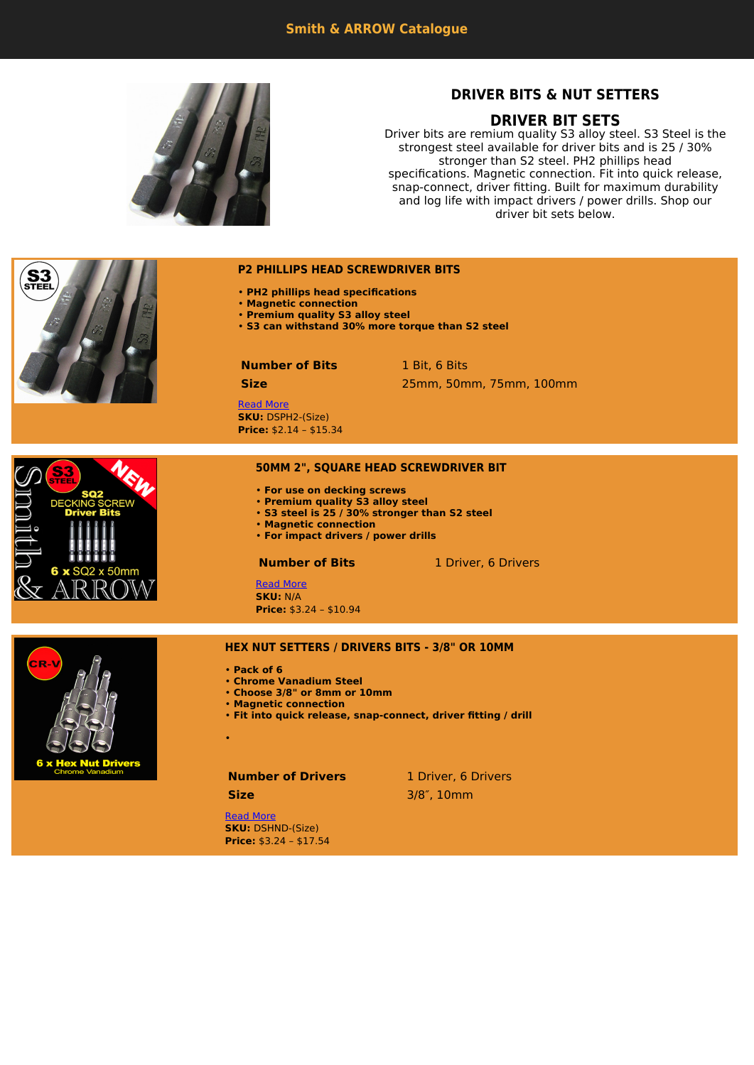

# **DRIVER BITS & NUT SETTERS**

# **DRIVER BIT SETS**

Driver bits are remium quality S3 alloy steel. S3 Steel is the strongest steel available for driver bits and is 25 / 30% stronger than S2 steel. PH2 phillips head specifications. Magnetic connection. Fit into quick release, snap-connect, driver fitting. Built for maximum durability and log life with impact drivers / power drills. Shop our driver bit sets below.

# • **PH2 phillips head specifications** • **Magnetic connection** • **Premium quality S3 alloy steel** • **S3 can withstand 30% more torque than S2 steel Number of Bits** 1 Bit, 6 Bits **Size** 25mm, 50mm, 75mm, 100mm

[Read More](https://www.smithandarrow.com.au/product/driver-sets-nut-setters/screwdriver-bit-phillips-head-ph2/) **SKU:** DSPH2-(Size) **Price:** \$2.14 – \$15.34

## **50MM 2", SQUARE HEAD SCREWDRIVER BIT**

- **For use on decking screws**
- **Premium quality S3 alloy steel**

**P2 PHILLIPS HEAD SCREWDRIVER BITS**

- **S3 steel is 25 / 30% stronger than S2 steel**
- **Magnetic connection** • **For impact drivers / power drills**
- 

**Number of Bits** 1 Driver, 6 Drivers

[Read More](https://www.smithandarrow.com.au/product/driver-sets-nut-setters/50mm-2-square-head-screwdriver/) **SKU:** N/A **Price:** \$3.24 – \$10.94



SQ2 x 50mm

#### **HEX NUT SETTERS / DRIVERS BITS - 3/8" OR 10MM**

- **Pack of 6**
- **Chrome Vanadium Steel**
- **Choose 3/8" or 8mm or 10mm**
- **Magnetic connection**
- **Fit into quick release, snap-connect, driver fitting / drill**

•

# **Number of Drivers** 1 Driver, 6 Drivers

**Size** 3/8″, 10mm

[Read More](https://www.smithandarrow.com.au/product/driver-sets-nut-setters/hex-nut-setters-drivers-magnetic-bits-38-8mm-10mm/) **SKU:** DSHND-(Size) **Price:** \$3.24 – \$17.54